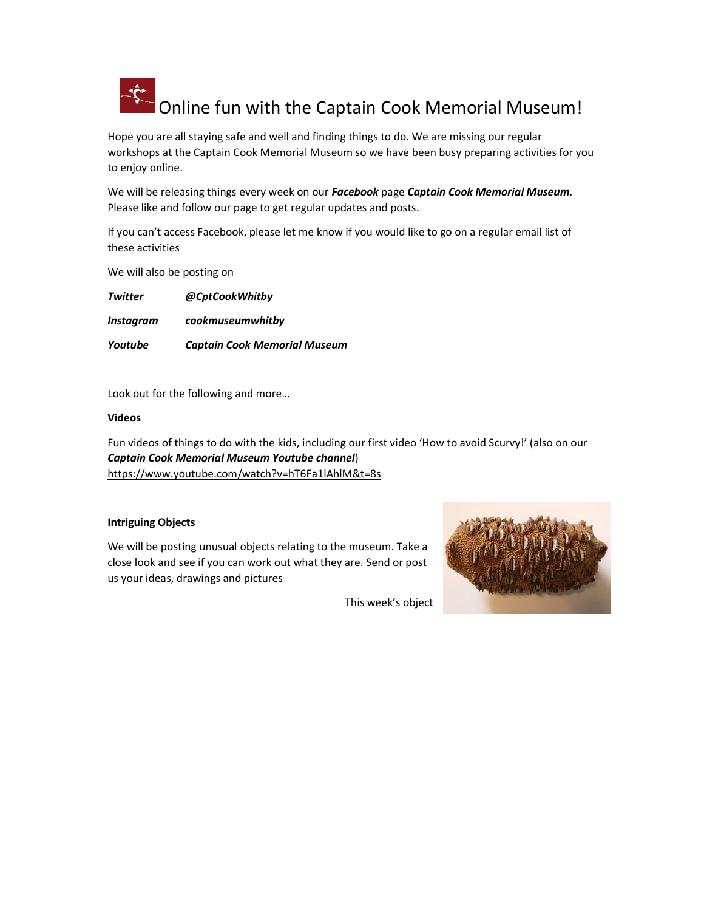

Hope you are all staying safe and well and finding things to do. We are missing our regular workshops at the Captain Cook Memorial Museum so we have been busy preparing activities for you to enjoy online.

We will be releasing things every week on our Facebook page Captain Cook Memorial Museum. Please like and follow our page to get regular updates and posts.

If you can't access Facebook, please let me know if you would like to go on a regular email list of these activities

We will also be posting on

Twitter @CptCookWhitby Instagram cookmuseumwhitby Youtube Captain Cook Memorial Museum

Look out for the following and more…

Videos

Fun videos of things to do with the kids, including our first video 'How to avoid Scurvy!' (also on our Captain Cook Memorial Museum Youtube channel) https://www.youtube.com/watch?v=hT6Fa1lAhlM&t=8s

## Intriguing Objects

We will be posting unusual objects relating to the museum. Take a close look and see if you can work out what they are. Send or post us your ideas, drawings and pictures



This week's object